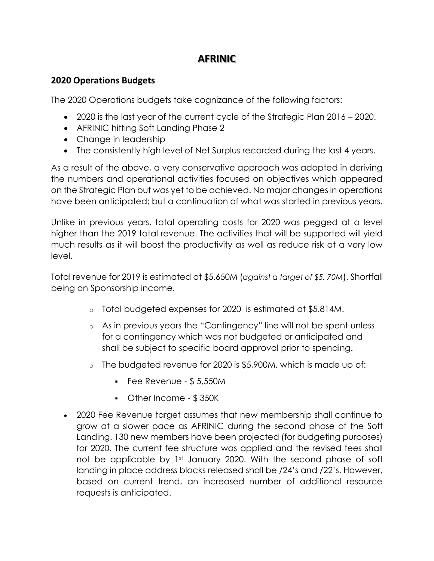## **AFRINIC**

## **2020 Operations Budgets**

The 2020 Operations budgets take cognizance of the following factors:

- 2020 is the last year of the current cycle of the Strategic Plan 2016 2020.
- AFRINIC hitting Soft Landing Phase 2
- Change in leadership
- The consistently high level of Net Surplus recorded during the last 4 years.

As a result of the above, a very conservative approach was adopted in deriving the numbers and operational activities focused on objectives which appeared on the Strategic Plan but was yet to be achieved. No major changes in operations have been anticipated; but a continuation of what was started in previous years.

Unlike in previous years, total operating costs for 2020 was pegged at a level higher than the 2019 total revenue. The activities that will be supported will yield much results as it will boost the productivity as well as reduce risk at a very low level.

Total revenue for 2019 is estimated at \$5.650M (*against a target of \$5. 70M*). Shortfall being on Sponsorship income.

- o Total budgeted expenses for 2020 is estimated at \$5.814M.
- o As in previous years the "Contingency" line will not be spent unless for a contingency which was not budgeted or anticipated and shall be subject to specific board approval prior to spending.
- o The budgeted revenue for 2020 is \$5,900M, which is made up of:
	- $\cdot$  Fee Revenue \$5,550M
	- Other Income \$ 350K
- 2020 Fee Revenue target assumes that new membership shall continue to grow at a slower pace as AFRINIC during the second phase of the Soft Landing. 130 new members have been projected (for budgeting purposes) for 2020. The current fee structure was applied and the revised fees shall not be applicable by 1st January 2020. With the second phase of soft landing in place address blocks released shall be /24's and /22's. However, based on current trend, an increased number of additional resource requests is anticipated.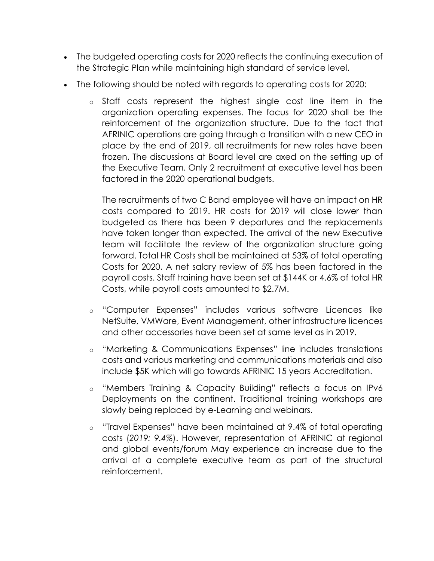- The budgeted operating costs for 2020 reflects the continuing execution of the Strategic Plan while maintaining high standard of service level.
- The following should be noted with regards to operating costs for 2020:
	- o Staff costs represent the highest single cost line item in the organization operating expenses. The focus for 2020 shall be the reinforcement of the organization structure. Due to the fact that AFRINIC operations are going through a transition with a new CEO in place by the end of 2019, all recruitments for new roles have been frozen. The discussions at Board level are axed on the setting up of the Executive Team. Only 2 recruitment at executive level has been factored in the 2020 operational budgets.

The recruitments of two C Band employee will have an impact on HR costs compared to 2019. HR costs for 2019 will close lower than budgeted as there has been 9 departures and the replacements have taken longer than expected. The arrival of the new Executive team will facilitate the review of the organization structure going forward. Total HR Costs shall be maintained at 53% of total operating Costs for 2020. A net salary review of 5% has been factored in the payroll costs. Staff training have been set at \$144K or 4.6% of total HR Costs, while payroll costs amounted to \$2.7M.

- o "Computer Expenses" includes various software Licences like NetSuite, VMWare, Event Management, other infrastructure licences and other accessories have been set at same level as in 2019.
- o "Marketing & Communications Expenses" line includes translations costs and various marketing and communications materials and also include \$5K which will go towards AFRINIC 15 years Accreditation.
- o "Members Training & Capacity Building" reflects a focus on IPv6 Deployments on the continent. Traditional training workshops are slowly being replaced by e-Learning and webinars.
- o "Travel Expenses" have been maintained at 9.4% of total operating costs (*2019: 9.4%*). However, representation of AFRINIC at regional and global events/forum May experience an increase due to the arrival of a complete executive team as part of the structural reinforcement.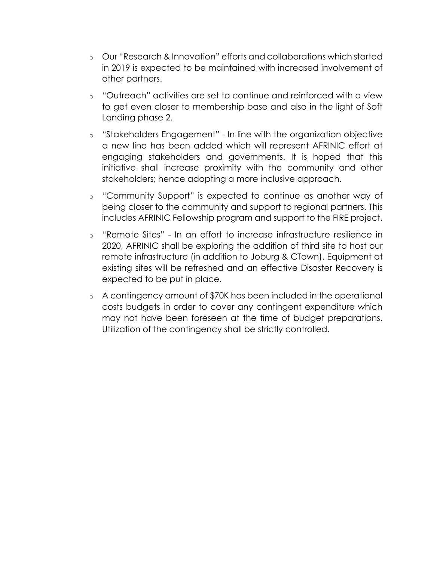- o Our "Research & Innovation" efforts and collaborations which started in 2019 is expected to be maintained with increased involvement of other partners.
- o "Outreach" activities are set to continue and reinforced with a view to get even closer to membership base and also in the light of Soft Landing phase 2.
- o "Stakeholders Engagement" In line with the organization objective a new line has been added which will represent AFRINIC effort at engaging stakeholders and governments. It is hoped that this initiative shall increase proximity with the community and other stakeholders; hence adopting a more inclusive approach.
- o "Community Support" is expected to continue as another way of being closer to the community and support to regional partners. This includes AFRINIC Fellowship program and support to the FIRE project.
- o "Remote Sites" In an effort to increase infrastructure resilience in 2020, AFRINIC shall be exploring the addition of third site to host our remote infrastructure (in addition to Joburg & CTown). Equipment at existing sites will be refreshed and an effective Disaster Recovery is expected to be put in place.
- o A contingency amount of \$70K has been included in the operational costs budgets in order to cover any contingent expenditure which may not have been foreseen at the time of budget preparations. Utilization of the contingency shall be strictly controlled.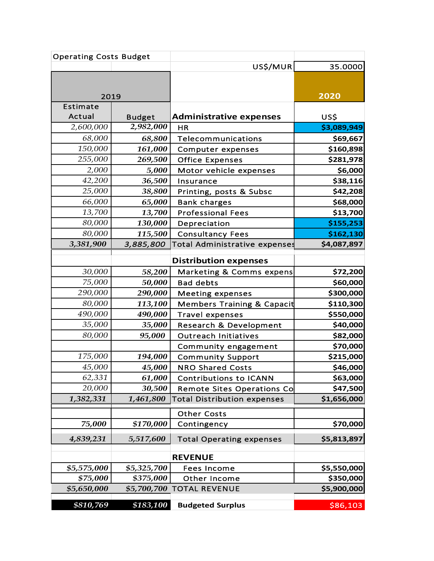| <b>Operating Costs Budget</b> |               |                                       |             |
|-------------------------------|---------------|---------------------------------------|-------------|
|                               |               | US\$/MUR                              | 35.0000     |
|                               |               |                                       |             |
|                               |               |                                       |             |
| 2019                          |               |                                       | 2020        |
| Estimate                      |               |                                       |             |
| Actual                        | <b>Budget</b> | <b>Administrative expenses</b>        | US\$        |
| 2,600,000                     | 2,982,000     | HR                                    | \$3,089,949 |
| 68,000                        | 68,800        | Telecommunications                    | \$69,667    |
| 150,000                       | 161,000       | Computer expenses                     | \$160,898   |
| 255,000                       | 269,500       | <b>Office Expenses</b>                | \$281,978   |
| 2,000                         | 5,000         | Motor vehicle expenses                | \$6,000     |
| 42,200                        | 36,500        | Insurance                             | \$38,116    |
| 25,000                        | 38,800        | Printing, posts & Subsc               | \$42,208    |
| 66,000                        | 65,000        | <b>Bank charges</b>                   | \$68,000    |
| 13,700                        | 13,700        | <b>Professional Fees</b>              | \$13,700    |
| 80,000                        | 130,000       | Depreciation                          | \$155,253   |
| 80,000                        | 115,500       | <b>Consultancy Fees</b>               | \$162,130   |
| 3,381,900                     | 3,885,800     | Total Administrative expenses         | \$4,087,897 |
|                               |               | <b>Distribution expenses</b>          |             |
| 30,000                        | 58,200        | Marketing & Comms expens              | \$72,200    |
| 75,000                        | 50,000        | <b>Bad debts</b>                      | \$60,000    |
| 290,000                       | 290,000       | <b>Meeting expenses</b>               | \$300,000   |
| 80,000                        | 113,100       | <b>Members Training &amp; Capacit</b> | \$110,300   |
| 490,000                       | 490,000       | <b>Travel expenses</b>                | \$550,000   |
| 35,000                        | 35,000        | <b>Research &amp; Development</b>     | \$40,000    |
| 80,000                        | 95,000        | <b>Outreach Initiatives</b>           | \$82,000    |
|                               |               | Community engagement                  | \$70,000    |
| 175,000                       | 194,000       | <b>Community Support</b>              | \$215,000   |
| 45,000                        | 45,000        | <b>NRO Shared Costs</b>               | \$46,000    |
| 62,331                        | 61,000        | <b>Contributions to ICANN</b>         | \$63,000    |
| 20,000                        | 30,500        | <b>Remote Sites Operations Co</b>     | \$47,500    |
| 1,382,331                     | 1,461,800     | <b>Total Distribution expenses</b>    | \$1,656,000 |
|                               |               | <b>Other Costs</b>                    |             |
| 75,000                        | \$170,000     | Contingency                           | \$70,000    |
|                               |               |                                       |             |
| 4,839,231                     | 5,517,600     | <b>Total Operating expenses</b>       | \$5,813,897 |
|                               |               | <b>REVENUE</b>                        |             |
| \$5,575,000                   | \$5,325,700   | <b>Fees Income</b>                    | \$5,550,000 |
| \$75,000                      | \$375,000     | Other Income                          | \$350,000   |
| \$5,650,000                   | \$5,700,700   | <b>TOTAL REVENUE</b>                  | \$5,900,000 |
|                               |               |                                       |             |
| \$810,769                     | \$183,100     | <b>Budgeted Surplus</b>               | \$86,103    |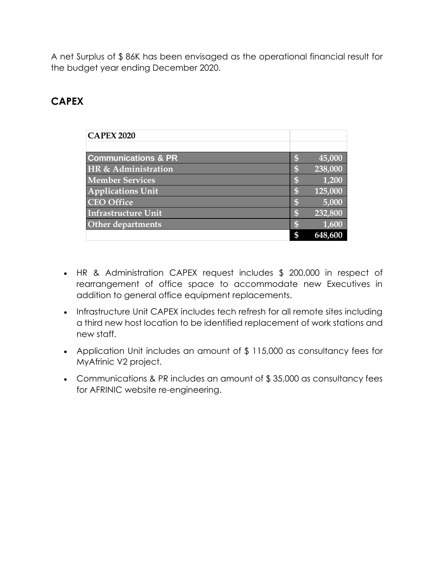A net Surplus of \$ 86K has been envisaged as the operational financial result for the budget year ending December 2020.

## **CAPEX**

| <b>CAPEX 2020</b>              |               |
|--------------------------------|---------------|
|                                |               |
| <b>Communications &amp; PR</b> | \$<br>45,000  |
| HR & Administration            | \$<br>238,000 |
| <b>Member Services</b>         | \$<br>1,200   |
| <b>Applications Unit</b>       | \$<br>125,000 |
| <b>CEO</b> Office              | \$<br>5,000   |
| <b>Infrastructure Unit</b>     | \$<br>232,800 |
| <b>Other departments</b>       | \$<br>1,600   |
|                                | \$<br>648,600 |

- HR & Administration CAPEX request includes \$ 200,000 in respect of rearrangement of office space to accommodate new Executives in addition to general office equipment replacements.
- Infrastructure Unit CAPEX includes tech refresh for all remote sites including a third new host location to be identified replacement of work stations and new staff.
- Application Unit includes an amount of \$ 115,000 as consultancy fees for MyAfrinic V2 project.
- Communications & PR includes an amount of \$ 35,000 as consultancy fees for AFRINIC website re-engineering.